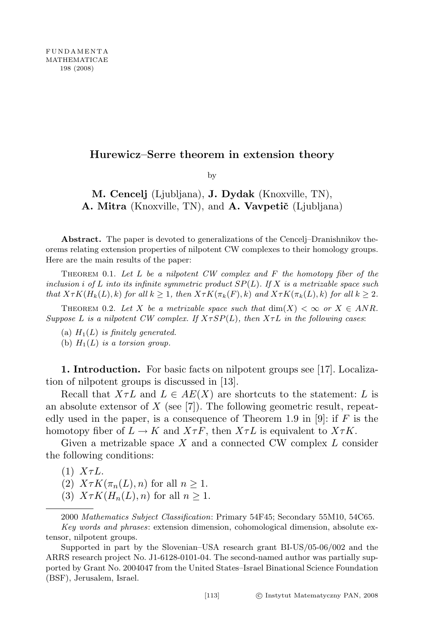## Hurewicz–Serre theorem in extension theory

by

M. Cencelj (Ljubljana), J. Dydak (Knoxville, TN), A. Mitra (Knoxville, TN), and A. Vavpetič (Ljubljana)

Abstract. The paper is devoted to generalizations of the Cencelj–Dranishnikov theorems relating extension properties of nilpotent CW complexes to their homology groups. Here are the main results of the paper:

THEOREM 0.1. Let  $L$  be a nilpotent CW complex and  $F$  the homotopy fiber of the inclusion i of L into its infinite symmetric product  $SP(L)$ . If X is a metrizable space such that  $X \tau K(H_k(L), k)$  for all  $k \geq 1$ , then  $X \tau K(\pi_k(F), k)$  and  $X \tau K(\pi_k(L), k)$  for all  $k \geq 2$ .

THEOREM 0.2. Let X be a metrizable space such that  $\dim(X) < \infty$  or  $X \in ANR$ . Suppose L is a nilpotent CW complex. If  $X \tau SP(L)$ , then  $X \tau L$  in the following cases:

(a)  $H_1(L)$  is finitely generated. (b)  $H_1(L)$  is a torsion group.

1. Introduction. For basic facts on nilpotent groups see [17]. Localization of nilpotent groups is discussed in [13].

Recall that  $X \tau L$  and  $L \in AE(X)$  are shortcuts to the statement: L is an absolute extensor of  $X$  (see [7]). The following geometric result, repeatedly used in the paper, is a consequence of Theorem 1.9 in [9]: if F is the homotopy fiber of  $L \to K$  and  $X \tau F$ , then  $X \tau L$  is equivalent to  $X \tau K$ .

Given a metrizable space  $X$  and a connected CW complex  $L$  consider the following conditions:

 $(1)$   $X\tau L$ .

(2)  $X \tau K(\pi_n(L), n)$  for all  $n \geq 1$ .

(3)  $X \tau K(H_n(L), n)$  for all  $n \geq 1$ .

2000 Mathematics Subject Classification: Primary 54F45; Secondary 55M10, 54C65.

Supported in part by the Slovenian–USA research grant BI-US/05-06/002 and the ARRS research project No. J1-6128-0101-04. The second-named author was partially supported by Grant No. 2004047 from the United States–Israel Binational Science Foundation (BSF), Jerusalem, Israel.

Key words and phrases: extension dimension, cohomological dimension, absolute extensor, nilpotent groups.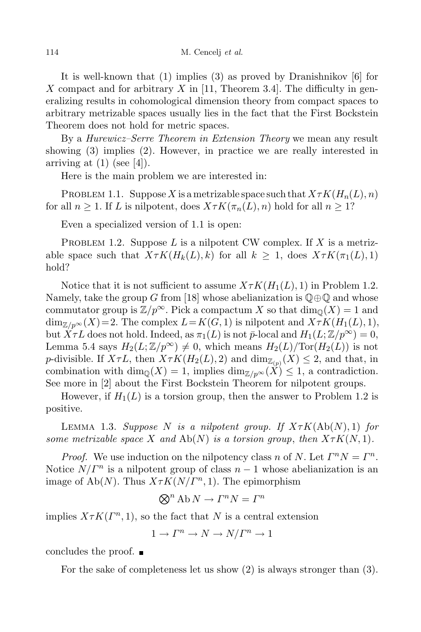It is well-known that (1) implies (3) as proved by Dranishnikov [6] for X compact and for arbitrary X in [11, Theorem 3.4]. The difficulty in generalizing results in cohomological dimension theory from compact spaces to arbitrary metrizable spaces usually lies in the fact that the First Bockstein Theorem does not hold for metric spaces.

By a Hurewicz–Serre Theorem in Extension Theory we mean any result showing (3) implies (2). However, in practice we are really interested in arriving at  $(1)$  (see [4]).

Here is the main problem we are interested in:

PROBLEM 1.1. Suppose X is a metrizable space such that  $X \tau K(H_n(L), n)$ for all  $n \geq 1$ . If L is nilpotent, does  $X \tau K(\pi_n(L), n)$  hold for all  $n \geq 1$ ?

Even a specialized version of 1.1 is open:

PROBLEM 1.2. Suppose L is a nilpotent CW complex. If X is a metrizable space such that  $X \tau K(H_k(L), k)$  for all  $k \geq 1$ , does  $X \tau K(\pi_1(L), 1)$ hold?

Notice that it is not sufficient to assume  $X \tau K(H_1(L), 1)$  in Problem 1.2. Namely, take the group G from [18] whose abelianization is  $\mathbb{Q} \oplus \mathbb{Q}$  and whose commutator group is  $\mathbb{Z}/p^{\infty}$ . Pick a compactum X so that  $\dim_{\mathbb{Q}}(X) = 1$  and  $\dim_{\mathbb{Z}/p^{\infty}}(X)=2.$  The complex  $L=K(G, 1)$  is nilpotent and  $X \tau K(H_1(L), 1),$ but  $X \tau L$  does not hold. Indeed, as  $\pi_1(L)$  is not  $\bar{p}$ -local and  $H_1(L; \mathbb{Z}/p^{\infty}) = 0$ , Lemma 5.4 says  $H_2(L; \mathbb{Z}/p^{\infty}) \neq 0$ , which means  $H_2(L)/\text{Tor}(H_2(L))$  is not p-divisible. If  $X \tau L$ , then  $X \tau K(H_2(L), 2)$  and  $\dim_{\mathbb{Z}_{(p)}}(X) \leq 2$ , and that, in combination with dim<sub>Q</sub>(X) = 1, implies dim<sub>Z/p</sub> $\propto$ (X)  $\leq$  1, a contradiction. See more in [2] about the First Bockstein Theorem for nilpotent groups.

However, if  $H_1(L)$  is a torsion group, then the answer to Problem 1.2 is positive.

LEMMA 1.3. Suppose N is a nilpotent group. If  $X \tau K(\text{Ab}(N), 1)$  for some metrizable space X and  $Ab(N)$  is a torsion group, then  $X \tau K(N, 1)$ .

*Proof.* We use induction on the nilpotency class n of N. Let  $\Gamma^n N = \Gamma^n$ . Notice  $N/\Gamma^n$  is a nilpotent group of class  $n-1$  whose abelianization is an image of Ab(N). Thus  $X \tau K(N/\Gamma^n, 1)$ . The epimorphism

$$
\bigotimes^n \mathrm{Ab} \, N \to \Gamma^n N = \Gamma^n
$$

implies  $X \tau K(\Gamma^n, 1)$ , so the fact that N is a central extension

$$
1 \to \Gamma^n \to N \to N/\Gamma^n \to 1
$$

concludes the proof.

For the sake of completeness let us show (2) is always stronger than (3).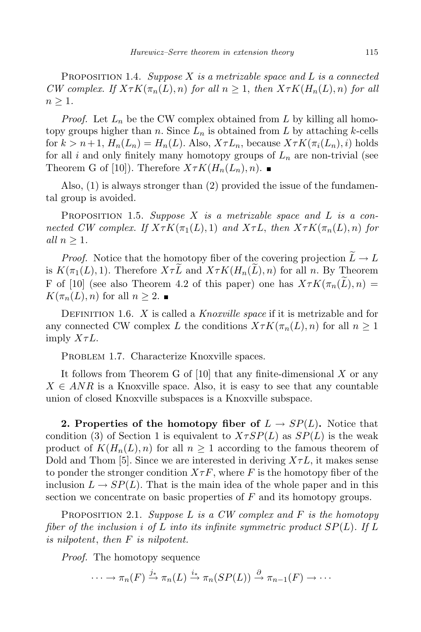PROPOSITION 1.4. Suppose X is a metrizable space and L is a connected CW complex. If  $X \tau K(\pi_n(L), n)$  for all  $n \geq 1$ , then  $X \tau K(H_n(L), n)$  for all  $n \geq 1$ .

*Proof.* Let  $L_n$  be the CW complex obtained from L by killing all homotopy groups higher than n. Since  $L_n$  is obtained from L by attaching k-cells for  $k > n+1$ ,  $H_n(L_n) = H_n(L)$ . Also,  $X \tau L_n$ , because  $X \tau K(\pi_i(L_n), i)$  holds for all i and only finitely many homotopy groups of  $L_n$  are non-trivial (see Theorem G of [10]). Therefore  $X \tau K(H_n(L_n), n)$ .

Also, (1) is always stronger than (2) provided the issue of the fundamental group is avoided.

PROPOSITION 1.5. Suppose  $X$  is a metrizable space and  $L$  is a connected CW complex. If  $X \tau K(\pi_1(L), 1)$  and  $X \tau L$ , then  $X \tau K(\pi_n(L), n)$  for all  $n > 1$ .

*Proof.* Notice that the homotopy fiber of the covering projection  $L \to L$ is  $K(\pi_1(L), 1)$ . Therefore  $X \tau L$  and  $X \tau K(H_n(L), n)$  for all n. By Theorem F of [10] (see also Theorem 4.2 of this paper) one has  $X \tau K(\pi_n(\tilde{L}), n) =$  $K(\pi_n(L), n)$  for all  $n \geq 2$ .

DEFINITION 1.6. X is called a Knoxville space if it is metrizable and for any connected CW complex L the conditions  $X \tau K(\pi_n(L), n)$  for all  $n \geq 1$ imply  $X\tau L$ .

PROBLEM 1.7. Characterize Knoxville spaces.

It follows from Theorem G of  $[10]$  that any finite-dimensional X or any  $X \in ANR$  is a Knoxville space. Also, it is easy to see that any countable union of closed Knoxville subspaces is a Knoxville subspace.

2. Properties of the homotopy fiber of  $L \to SP(L)$ . Notice that condition (3) of Section 1 is equivalent to  $X \tau SP(L)$  as  $SP(L)$  is the weak product of  $K(H_n(L), n)$  for all  $n \geq 1$  according to the famous theorem of Dold and Thom [5]. Since we are interested in deriving  $X\tau L$ , it makes sense to ponder the stronger condition  $X \tau F$ , where F is the homotopy fiber of the inclusion  $L \to SP(L)$ . That is the main idea of the whole paper and in this section we concentrate on basic properties of  $F$  and its homotopy groups.

PROPOSITION 2.1. Suppose L is a CW complex and F is the homotopy fiber of the inclusion i of L into its infinite symmetric product  $SP(L)$ . If L is nilpotent, then F is nilpotent.

Proof. The homotopy sequence

$$
\cdots \to \pi_n(F) \xrightarrow{j_*} \pi_n(L) \xrightarrow{i_*} \pi_n(SP(L)) \xrightarrow{\partial} \pi_{n-1}(F) \to \cdots
$$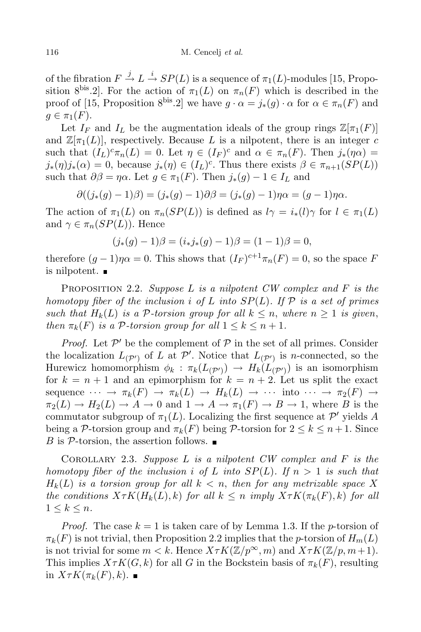of the fibration  $F \stackrel{j}{\rightarrow} L \stackrel{i}{\rightarrow} SP(L)$  is a sequence of  $\pi_1(L)$ -modules [15, Proposition 8<sup>bis</sup>.2. For the action of  $\pi_1(L)$  on  $\pi_n(F)$  which is described in the proof of [15, Proposition 8<sup>bis</sup>.2] we have  $g \cdot \alpha = j_*(g) \cdot \alpha$  for  $\alpha \in \pi_n(F)$  and  $q \in \pi_1(F)$ .

Let  $I_F$  and  $I_L$  be the augmentation ideals of the group rings  $\mathbb{Z}[\pi_1(F)]$ and  $\mathbb{Z}[\pi_1(L)]$ , respectively. Because L is a nilpotent, there is an integer c such that  $(I_L)^c \pi_n(L) = 0$ . Let  $\eta \in (I_F)^c$  and  $\alpha \in \pi_n(F)$ . Then  $j_*(\eta \alpha) =$  $j_*(\eta)j_*(\alpha) = 0$ , because  $j_*(\eta) \in (I_L)^c$ . Thus there exists  $\beta \in \pi_{n+1}(SP(L))$ such that  $\partial \beta = \eta \alpha$ . Let  $q \in \pi_1(F)$ . Then  $j_*(q) - 1 \in I_L$  and

$$
\partial((j_*(g)-1)\beta) = (j_*(g)-1)\partial\beta = (j_*(g)-1)\eta\alpha = (g-1)\eta\alpha.
$$

The action of  $\pi_1(L)$  on  $\pi_n(SP(L))$  is defined as  $l\gamma = i_*(l)\gamma$  for  $l \in \pi_1(L)$ and  $\gamma \in \pi_n(SP(L))$ . Hence

$$
(j_*(g) - 1)\beta = (i_*j_*(g) - 1)\beta = (1 - 1)\beta = 0,
$$

therefore  $(g-1)\eta\alpha = 0$ . This shows that  $(I_F)^{c+1}\pi_n(F) = 0$ , so the space F is nilpotent.

PROPOSITION 2.2. Suppose L is a nilpotent  $CW$  complex and F is the homotopy fiber of the inclusion i of L into  $SP(L)$ . If P is a set of primes such that  $H_k(L)$  is a P-torsion group for all  $k \leq n$ , where  $n \geq 1$  is given, then  $\pi_k(F)$  is a P-torsion group for all  $1 \leq k \leq n+1$ .

*Proof.* Let  $\mathcal{P}'$  be the complement of  $\mathcal P$  in the set of all primes. Consider the localization  $L_{(\mathcal{P}')}$  of L at  $\mathcal{P}'$ . Notice that  $L_{(\mathcal{P}')}$  is *n*-connected, so the Hurewicz homomorphism  $\phi_k : \pi_k(L_{(\mathcal{P}')} ) \to H_k(L_{(\mathcal{P}')} )$  is an isomorphism for  $k = n + 1$  and an epimorphism for  $k = n + 2$ . Let us split the exact sequence  $\cdots \rightarrow \pi_k(F) \rightarrow \pi_k(L) \rightarrow H_k(L) \rightarrow \cdots$  into  $\cdots \rightarrow \pi_2(F) \rightarrow$  $\pi_2(L) \to H_2(L) \to A \to 0$  and  $1 \to A \to \pi_1(F) \to B \to 1$ , where B is the commutator subgroup of  $\pi_1(L)$ . Localizing the first sequence at  $\mathcal{P}'$  yields A being a P-torsion group and  $\pi_k(F)$  being P-torsion for  $2 \leq k \leq n+1$ . Since B is  $\mathcal P$ -torsion, the assertion follows.

COROLLARY 2.3. Suppose  $L$  is a nilpotent CW complex and  $F$  is the homotopy fiber of the inclusion i of L into  $SP(L)$ . If  $n > 1$  is such that  $H_k(L)$  is a torsion group for all  $k < n$ , then for any metrizable space X the conditions  $X \tau K(H_k(L), k)$  for all  $k \leq n$  imply  $X \tau K(\pi_k(F), k)$  for all  $1 \leq k \leq n$ .

*Proof.* The case  $k = 1$  is taken care of by Lemma 1.3. If the *p*-torsion of  $\pi_k(F)$  is not trivial, then Proposition 2.2 implies that the p-torsion of  $H_m(L)$ is not trivial for some  $m < k$ . Hence  $X \tau K(\mathbb{Z}/p^{\infty}, m)$  and  $X \tau K(\mathbb{Z}/p, m+1)$ . This implies  $X \tau K(G, k)$  for all G in the Bockstein basis of  $\pi_k(F)$ , resulting in  $X \tau K(\pi_k(F), k)$ .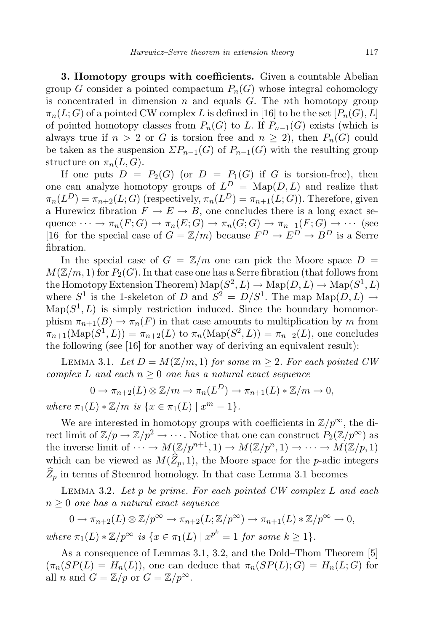3. Homotopy groups with coefficients. Given a countable Abelian group G consider a pointed compactum  $P_n(G)$  whose integral cohomology is concentrated in dimension  $n$  and equals  $G$ . The  $n$ <sup>th</sup> homotopy group  $\pi_n(L; G)$  of a pointed CW complex L is defined in [16] to be the set  $[P_n(G), L]$ of pointed homotopy classes from  $P_n(G)$  to L. If  $P_{n-1}(G)$  exists (which is always true if  $n > 2$  or G is torsion free and  $n \geq 2$ , then  $P_n(G)$  could be taken as the suspension  $\sum P_{n-1}(G)$  of  $P_{n-1}(G)$  with the resulting group structure on  $\pi_n(L, G)$ .

If one puts  $D = P_2(G)$  (or  $D = P_1(G)$  if G is torsion-free), then one can analyze homotopy groups of  $L^D = \text{Map}(D, L)$  and realize that  $\pi_n(L^D) = \pi_{n+2}(L;G)$  (respectively,  $\pi_n(L^D) = \pi_{n+1}(L;G)$ ). Therefore, given a Hurewicz fibration  $F \to E \to B$ , one concludes there is a long exact sequence  $\cdots \to \pi_n(F;G) \to \pi_n(E;G) \to \pi_n(G;G) \to \pi_{n-1}(F;G) \to \cdots$  (see [16] for the special case of  $G = \mathbb{Z}/m$ ] because  $F^D \to E^D \to B^D$  is a Serre fibration.

In the special case of  $G = \mathbb{Z}/m$  one can pick the Moore space  $D =$  $M(\mathbb{Z}/m, 1)$  for  $P_2(G)$ . In that case one has a Serre fibration (that follows from the Homotopy Extension Theorem)  $\mathrm{Map}(S^2, L) \to \mathrm{Map}(D, L) \to \mathrm{Map}(S^1, L)$ where  $S^1$  is the 1-skeleton of D and  $S^2 = D/S^1$ . The map  $\text{Map}(D, L) \rightarrow$  $\text{Map}(S^1, L)$  is simply restriction induced. Since the boundary homomorphism  $\pi_{n+1}(B) \to \pi_n(F)$  in that case amounts to multiplication by m from  $\pi_{n+1}(\text{Map}(S^1, L)) = \pi_{n+2}(L)$  to  $\pi_n(\text{Map}(S^2, L)) = \pi_{n+2}(L)$ , one concludes the following (see [16] for another way of deriving an equivalent result):

LEMMA 3.1. Let  $D = M(\mathbb{Z}/m, 1)$  for some  $m \geq 2$ . For each pointed CW complex L and each  $n \geq 0$  one has a natural exact sequence

$$
0 \to \pi_{n+2}(L) \otimes \mathbb{Z}/m \to \pi_n(L^D) \to \pi_{n+1}(L) * \mathbb{Z}/m \to 0,
$$

where  $\pi_1(L) * \mathbb{Z}/m$  is  $\{x \in \pi_1(L) \mid x^m = 1\}.$ 

We are interested in homotopy groups with coefficients in  $\mathbb{Z}/p^{\infty}$ , the direct limit of  $\mathbb{Z}/p \to \mathbb{Z}/p^2 \to \cdots$ . Notice that one can construct  $P_2(\mathbb{Z}/p^{\infty})$  as the inverse limit of  $\cdots \to M(\mathbb{Z}/p^{n+1},1) \to M(\mathbb{Z}/p^n,1) \to \cdots \to M(\mathbb{Z}/p,1)$ which can be viewed as  $M(\widehat{Z}_p, 1)$ , the Moore space for the p-adic integers  $Z_p$  in terms of Steenrod homology. In that case Lemma 3.1 becomes

LEMMA 3.2. Let  $p$  be prime. For each pointed CW complex  $L$  and each  $n \geq 0$  one has a natural exact sequence

$$
0 \to \pi_{n+2}(L) \otimes \mathbb{Z}/p^{\infty} \to \pi_{n+2}(L;\mathbb{Z}/p^{\infty}) \to \pi_{n+1}(L) * \mathbb{Z}/p^{\infty} \to 0,
$$

where  $\pi_1(L) * \mathbb{Z}/p^{\infty}$  is  $\{x \in \pi_1(L) \mid x^{p^k} = 1 \text{ for some } k \geq 1\}.$ 

As a consequence of Lemmas 3.1, 3.2, and the Dold–Thom Theorem [5]  $(\pi_n(SP(L) = H_n(L))$ , one can deduce that  $\pi_n(SP(L); G) = H_n(L; G)$  for all *n* and  $G = \mathbb{Z}/p$  or  $G = \mathbb{Z}/p^{\infty}$ .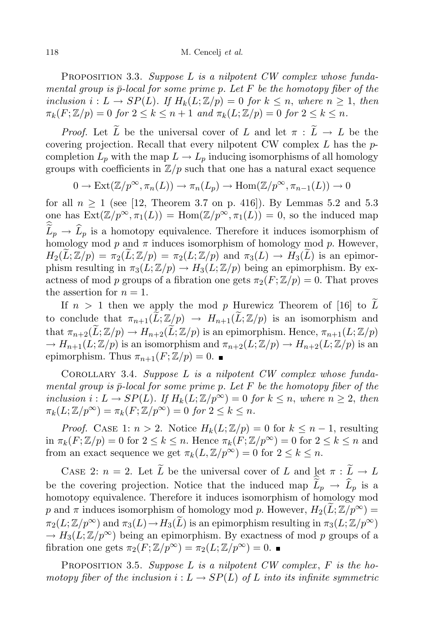PROPOSITION 3.3. Suppose L is a nilpotent  $CW$  complex whose fundamental group is  $\bar{p}$ -local for some prime p. Let F be the homotopy fiber of the inclusion  $i: L \to SP(L)$ . If  $H_k(L;\mathbb{Z}/p) = 0$  for  $k \leq n$ , where  $n \geq 1$ , then  $\pi_k(F; \mathbb{Z}/p) = 0$  for  $2 \leq k \leq n+1$  and  $\pi_k(L; \mathbb{Z}/p) = 0$  for  $2 \leq k \leq n$ .

*Proof.* Let  $\widetilde{L}$  be the universal cover of L and let  $\pi : \widetilde{L} \to L$  be the covering projection. Recall that every nilpotent CW complex  $L$  has the  $p$ completion  $L_p$  with the map  $L \to L_p$  inducing isomorphisms of all homology groups with coefficients in  $\mathbb{Z}/p$  such that one has a natural exact sequence

$$
0 \to \text{Ext}(\mathbb{Z}/p^{\infty}, \pi_n(L)) \to \pi_n(L_p) \to \text{Hom}(\mathbb{Z}/p^{\infty}, \pi_{n-1}(L)) \to 0
$$

for all  $n \geq 1$  (see [12, Theorem 3.7 on p. 416]). By Lemmas 5.2 and 5.3 one has  $\text{Ext}(\mathbb{Z}/p^{\infty}, \pi_1(L)) = \text{Hom}(\mathbb{Z}/p^{\infty}, \pi_1(L)) = 0$ , so the induced map  $\tilde{L}_p \rightarrow \tilde{L}_p$  is a homotopy equivalence. Therefore it induces isomorphism of homology mod  $p$  and  $\pi$  induces isomorphism of homology mod  $p$ . However,  $H_2(L;\mathbb{Z}/p) = \pi_2(L;\mathbb{Z}/p) = \pi_2(L;\mathbb{Z}/p)$  and  $\pi_3(L) \to H_3(L)$  is an epimorphism resulting in  $\pi_3(L; \mathbb{Z}/p) \to H_3(L; \mathbb{Z}/p)$  being an epimorphism. By exactness of mod p groups of a fibration one gets  $\pi_2(F; \mathbb{Z}/p) = 0$ . That proves the assertion for  $n = 1$ .

If  $n > 1$  then we apply the mod p Hurewicz Theorem of [16] to L to conclude that  $\pi_{n+1}(\widetilde{L}; \mathbb{Z}/p) \to H_{n+1}(\widetilde{L}; \mathbb{Z}/p)$  is an isomorphism and that  $\pi_{n+2}(\tilde{L}; \mathbb{Z}/p) \to H_{n+2}(\tilde{L}; \mathbb{Z}/p)$  is an epimorphism. Hence,  $\pi_{n+1}(L; \mathbb{Z}/p)$  $\rightarrow H_{n+1}(L;\mathbb{Z}/p)$  is an isomorphism and  $\pi_{n+2}(L;\mathbb{Z}/p) \rightarrow H_{n+2}(L;\mathbb{Z}/p)$  is an epimorphism. Thus  $\pi_{n+1}(F; \mathbb{Z}/p) = 0$ .

COROLLARY 3.4. Suppose  $L$  is a nilpotent  $CW$  complex whose fundamental group is  $\bar{p}$ -local for some prime p. Let F be the homotopy fiber of the inclusion  $i: L \to SP(L)$ . If  $H_k(L; \mathbb{Z}/p^{\infty}) = 0$  for  $k \leq n$ , where  $n \geq 2$ , then  $\pi_k(L; \mathbb{Z}/p^\infty) = \pi_k(F; \mathbb{Z}/p^\infty) = 0$  for  $2 \leq k \leq n$ .

*Proof.* CASE 1:  $n > 2$ . Notice  $H_k(L;\mathbb{Z}/p) = 0$  for  $k \leq n-1$ , resulting in  $\pi_k(F; \mathbb{Z}/p) = 0$  for  $2 \leq k \leq n$ . Hence  $\pi_k(F; \mathbb{Z}/p^{\infty}) = 0$  for  $2 \leq k \leq n$  and from an exact sequence we get  $\pi_k(L, \mathbb{Z}/p^\infty) = 0$  for  $2 \leq k \leq n$ .

CASE 2:  $n = 2$ . Let  $\widetilde{L}$  be the universal cover of L and let  $\pi : \widetilde{L} \to L$ be the covering projection. Notice that the induced map  $\widetilde{L}_p \rightarrow \widehat{L}_p$  is a homotopy equivalence. Therefore it induces isomorphism of homology mod p and  $\pi$  induces isomorphism of homology mod p. However,  $H_2(L;\mathbb{Z}/p^{\infty}) =$  $\pi_2(L; \mathbb{Z}/p^{\infty})$  and  $\pi_3(L) \rightarrow H_3(\widetilde{L})$  is an epimorphism resulting in  $\pi_3(L; \mathbb{Z}/p^{\infty})$  $\rightarrow H_3(L;\mathbb{Z}/p^{\infty})$  being an epimorphism. By exactness of mod p groups of a fibration one gets  $\pi_2(F; \mathbb{Z}/p^{\infty}) = \pi_2(L; \mathbb{Z}/p^{\infty}) = 0$ .

PROPOSITION 3.5. Suppose  $L$  is a nilpotent  $CW$  complex,  $F$  is the homotopy fiber of the inclusion  $i: L \to SP(L)$  of L into its infinite symmetric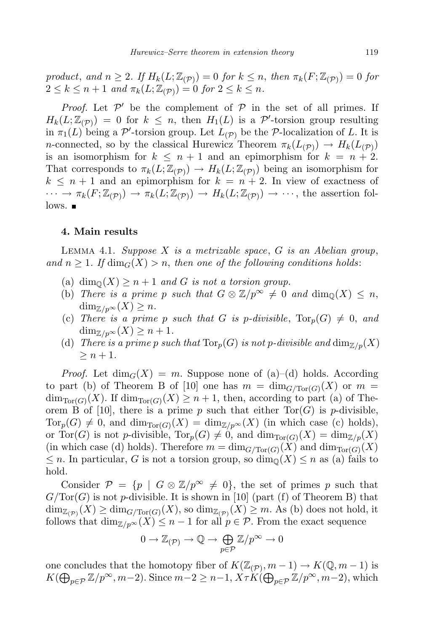product, and  $n \geq 2$ . If  $H_k(L; \mathbb{Z}_{(\mathcal{P})}) = 0$  for  $k \leq n$ , then  $\pi_k(F; \mathbb{Z}_{(\mathcal{P})}) = 0$  for  $2 \leq k \leq n+1$  and  $\pi_k(L; \mathbb{Z}_{(\mathcal{P})}) = 0$  for  $2 \leq k \leq n$ .

*Proof.* Let  $\mathcal{P}'$  be the complement of  $\mathcal{P}$  in the set of all primes. If  $H_k(L; \mathbb{Z}_{(\mathcal{P})}) = 0$  for  $k \leq n$ , then  $H_1(L)$  is a  $\mathcal{P}'$ -torsion group resulting in  $\pi_1(L)$  being a P'-torsion group. Let  $L_{(\mathcal{P})}$  be the P-localization of L. It is *n*-connected, so by the classical Hurewicz Theorem  $\pi_k(L_{(\mathcal{P})}) \to H_k(L_{(\mathcal{P})})$ is an isomorphism for  $k \leq n+1$  and an epimorphism for  $k = n+2$ . That corresponds to  $\pi_k(L; \mathbb{Z}_{(\mathcal{P})}) \to H_k(L; \mathbb{Z}_{(\mathcal{P})})$  being an isomorphism for  $k \leq n+1$  and an epimorphism for  $k = n+2$ . In view of exactness of  $\cdots \to \pi_k(F; \mathbb{Z}_{(\mathcal{P})}) \to \pi_k(L; \mathbb{Z}_{(\mathcal{P})}) \to H_k(L; \mathbb{Z}_{(\mathcal{P})}) \to \cdots$ , the assertion fol- $\frac{1}{\sqrt{2}}$ 

## 4. Main results

LEMMA 4.1. Suppose  $X$  is a metrizable space,  $G$  is an Abelian group, and  $n \geq 1$ . If  $\dim_G(X) > n$ , then one of the following conditions holds:

- (a) dim<sub> $\mathbb{O}(X) \geq n+1$  and G is not a torsion group.</sub>
- (b) There is a prime p such that  $G \otimes \mathbb{Z}/p^{\infty} \neq 0$  and  $\dim_{\mathbb{Q}}(X) \leq n$ ,  $\dim_{\mathbb{Z}/p^{\infty}}(X) \geq n$ .
- (c) There is a prime p such that G is p-divisible,  $Tor_p(G) \neq 0$ , and  $\dim_{\mathbb{Z}/p^{\infty}}(X) \geq n+1.$
- (d) There is a prime p such that  $\text{Tor}_p(G)$  is not p-divisible and  $\dim_{\mathbb{Z}/p}(X)$  $\geq n+1$ .

*Proof.* Let  $\dim_G(X) = m$ . Suppose none of (a)–(d) holds. According to part (b) of Theorem B of [10] one has  $m = \dim_{G/\mathrm{Tor}(G)}(X)$  or  $m =$  $\dim_{\text{Tor}(G)}(X)$ . If  $\dim_{\text{Tor}(G)}(X) \geq n+1$ , then, according to part (a) of Theorem B of [10], there is a prime p such that either  $Tor(G)$  is p-divisible,  $Tor_p(G) \neq 0$ , and  $\dim_{Tor(G)}(X) = \dim_{\mathbb{Z}/p^{\infty}}(X)$  (in which case (c) holds), or Tor(G) is not p-divisible,  $Tor_p(G) \neq 0$ , and  $\dim_{Tor(G)}(X) = \dim_{\mathbb{Z}/p}(X)$ (in which case (d) holds). Therefore  $m = \dim_{G/\mathrm{Tor}(G)}(X)$  and  $\dim_{\mathrm{Tor}(G)}(X)$  $\leq n$ . In particular, G is not a torsion group, so  $\dim_{\mathbb{Q}}(X) \leq n$  as (a) fails to hold.

Consider  $\mathcal{P} = \{p \mid G \otimes \mathbb{Z}/p^{\infty} \neq 0\}$ , the set of primes p such that  $G/Tor(G)$  is not p-divisible. It is shown in [10] (part (f) of Theorem B) that  $\dim_{\mathbb{Z}_{(\mathcal{P})}}(X) \ge \dim_{G/\text{Tor}(G)}(X)$ , so  $\dim_{\mathbb{Z}_{(\mathcal{P})}}(X) \ge m$ . As (b) does not hold, it follows that  $\dim_{\mathbb{Z}/p^{\infty}}(X) \leq n-1$  for all  $p \in \mathcal{P}$ . From the exact sequence

$$
0 \to \mathbb{Z}_{(\mathcal{P})} \to \mathbb{Q} \to \bigoplus_{p \in \mathcal{P}} \mathbb{Z}/p^{\infty} \to 0
$$

one concludes that the homotopy fiber of  $K(\mathbb{Z}_{(\mathcal{P})}, m-1) \to K(\mathbb{Q}, m-1)$  is  $K(\bigoplus_{p\in\mathcal{P}}\mathbb{Z}/p^{\infty},m-2)$ . Since  $m-2\geq n-1$ ,  $X\tau K(\bigoplus_{p\in\mathcal{P}}\mathbb{Z}/p^{\infty},m-2)$ , which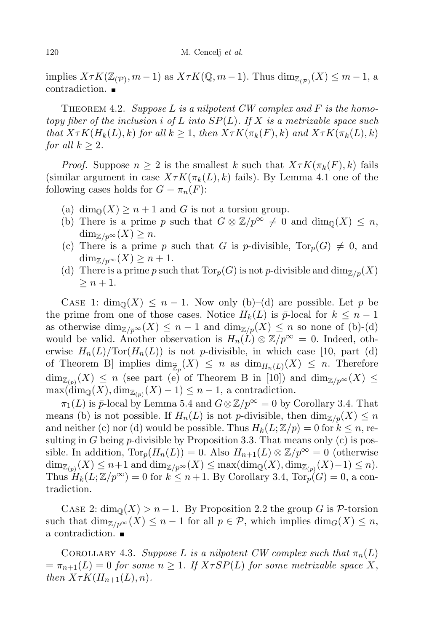implies  $X \tau K(\mathbb{Z}_{(\mathcal{P})}, m-1)$  as  $X \tau K(\mathbb{Q}, m-1)$ . Thus  $\dim_{\mathbb{Z}_{(\mathcal{P})}}(X) \leq m-1$ , a contradiction.

THEOREM 4.2. Suppose L is a nilpotent CW complex and F is the homotopy fiber of the inclusion i of L into  $SP(L)$ . If X is a metrizable space such that  $X \tau K(H_k(L), k)$  for all  $k \geq 1$ , then  $X \tau K(\pi_k(F), k)$  and  $X \tau K(\pi_k(L), k)$ for all  $k \geq 2$ .

*Proof.* Suppose  $n \geq 2$  is the smallest k such that  $X \tau K(\pi_k(F), k)$  fails (similar argument in case  $X \tau K(\pi_k(L), k)$  fails). By Lemma 4.1 one of the following cases holds for  $G = \pi_n(F)$ :

- (a) dim<sub> $\mathbb{Q}(X) \geq n+1$  and G is not a torsion group.</sub>
- (b) There is a prime p such that  $G \otimes \mathbb{Z}/p^{\infty} \neq 0$  and  $\dim_{\mathbb{Q}}(X) \leq n$ ,  $\dim_{\mathbb{Z}/p^{\infty}}(X) \geq n.$
- (c) There is a prime p such that G is p-divisible,  $Tor_p(G) \neq 0$ , and  $\dim_{\mathbb{Z}/p^{\infty}}(X) \geq n+1.$
- (d) There is a prime p such that  $Tor_p(G)$  is not p-divisible and  $\dim_{\mathbb{Z}/p}(X)$  $\geq n+1$ .

CASE 1:  $\dim_{\mathbb{Q}}(X) \leq n-1$ . Now only (b)–(d) are possible. Let p be the prime from one of those cases. Notice  $H_k(L)$  is  $\bar{p}$ -local for  $k \leq n-1$ as otherwise  $\dim_{\mathbb{Z}/p^{\infty}}(X) \leq n-1$  and  $\dim_{\mathbb{Z}/p}(X) \leq n$  so none of (b)-(d) would be valid. Another observation is  $H_n(L) \otimes \mathbb{Z}/p^{\infty} = 0$ . Indeed, otherwise  $H_n(L)/\text{Tor}(H_n(L))$  is not p-divisible, in which case [10, part (d) of Theorem B implies  $\dim_{\widehat{\mathbb{Z}}_p}(X) \leq n$  as  $\dim_{H_n(L)}(X) \leq n$ . Therefore  $\dim_{\mathbb{Z}_{(p)}}(X) \leq n$  (see part (e) of Theorem B in [10]) and  $\dim_{\mathbb{Z}/p^{\infty}}(X) \leq$  $\max(\dim_{\mathbb{Q}}(X), \dim_{\mathbb{Z}_{(p)}}(X) - 1) \leq n - 1$ , a contradiction.

 $\pi_1(L)$  is  $\bar{p}$ -local by Lemma 5.4 and  $G \otimes \mathbb{Z}/p^{\infty} = 0$  by Corollary 3.4. That means (b) is not possible. If  $H_n(L)$  is not p-divisible, then  $\dim_{\mathbb{Z}/p}(X) \leq n$ and neither (c) nor (d) would be possible. Thus  $H_k(L; \mathbb{Z}/p) = 0$  for  $k \leq n$ , resulting in G being  $p$ -divisible by Proposition 3.3. That means only (c) is possible. In addition,  $\text{Tor}_p(H_n(L)) = 0$ . Also  $H_{n+1}(L) \otimes \mathbb{Z}/p^{\infty} = 0$  (otherwise  $\dim_{\mathbb{Z}_{(p)}}(X) \leq n+1$  and  $\dim_{\mathbb{Z}/p^{\infty}}(X) \leq \max(\dim_{\mathbb{Q}}(X), \dim_{\mathbb{Z}_{(p)}}(X)-1) \leq n$ . Thus  $H_k(L;\mathbb{Z}/p^\infty) = 0$  for  $k \leq n+1$ . By Corollary 3.4,  $Tor_p(G) = 0$ , a contradiction.

CASE 2:  $\dim_{\mathbb{Q}}(X) > n-1$ . By Proposition 2.2 the group G is P-torsion such that  $\dim_{\mathbb{Z}/p^{\infty}}(X) \leq n-1$  for all  $p \in \mathcal{P}$ , which implies  $\dim_G(X) \leq n$ , a contradiction.

COROLLARY 4.3. Suppose L is a nilpotent CW complex such that  $\pi_n(L)$  $=\pi_{n+1}(L) = 0$  for some  $n \geq 1$ . If  $X \tau SP(L)$  for some metrizable space X, then  $X \tau K(H_{n+1}(L), n)$ .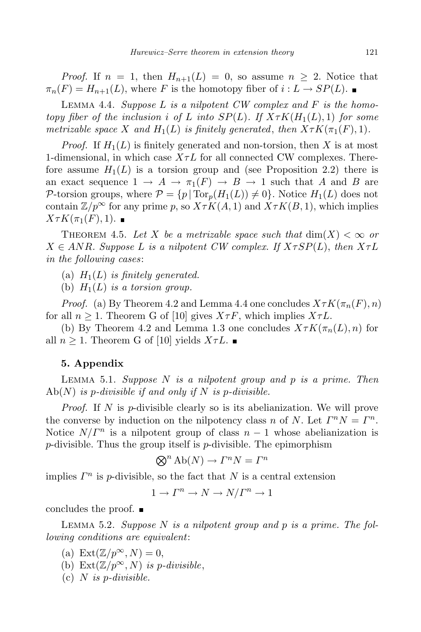*Proof.* If  $n = 1$ , then  $H_{n+1}(L) = 0$ , so assume  $n \geq 2$ . Notice that  $\pi_n(F) = H_{n+1}(L)$ , where F is the homotopy fiber of  $i: L \to SP(L)$ .

LEMMA 4.4. Suppose  $L$  is a nilpotent  $CW$  complex and  $F$  is the homotopy fiber of the inclusion i of L into  $SP(L)$ . If  $X \tau K(H_1(L), 1)$  for some metrizable space X and  $H_1(L)$  is finitely generated, then  $X \tau K(\pi_1(F), 1)$ .

*Proof.* If  $H_1(L)$  is finitely generated and non-torsion, then X is at most 1-dimensional, in which case  $X\tau L$  for all connected CW complexes. Therefore assume  $H_1(L)$  is a torsion group and (see Proposition 2.2) there is an exact sequence  $1 \to A \to \pi_1(F) \to B \to 1$  such that A and B are P-torsion groups, where  $\mathcal{P} = \{p | \text{Tor}_p(H_1(L)) \neq 0\}$ . Notice  $H_1(L)$  does not contain  $\mathbb{Z}/p^{\infty}$  for any prime p, so  $X \tau K(A, 1)$  and  $X \tau K(B, 1)$ , which implies  $X \tau K(\pi_1(F), 1)$ .

THEOREM 4.5. Let X be a metrizable space such that  $\dim(X) < \infty$  or  $X \in ANR$ . Suppose L is a nilpotent CW complex. If  $X \tau SP(L)$ , then  $X \tau L$ in the following cases:

(a)  $H_1(L)$  is finitely generated.

(b)  $H_1(L)$  is a torsion group.

*Proof.* (a) By Theorem 4.2 and Lemma 4.4 one concludes  $X \tau K(\pi_n(F), n)$ for all  $n \geq 1$ . Theorem G of [10] gives  $X \tau F$ , which implies  $X \tau L$ .

(b) By Theorem 4.2 and Lemma 1.3 one concludes  $X \tau K(\pi_n(L), n)$  for all  $n \geq 1$ . Theorem G of [10] yields  $X \tau L$ .

## 5. Appendix

LEMMA 5.1. Suppose  $N$  is a nilpotent group and  $p$  is a prime. Then  $Ab(N)$  is p-divisible if and only if N is p-divisible.

*Proof.* If N is p-divisible clearly so is its abelianization. We will prove the converse by induction on the nilpotency class n of N. Let  $\Gamma^n N = \Gamma^n$ . Notice  $N/\Gamma^n$  is a nilpotent group of class  $n-1$  whose abelianization is  $p$ -divisible. Thus the group itself is  $p$ -divisible. The epimorphism

$$
\bigotimes^n \text{Ab}(N) \to \Gamma^n N = \Gamma^n
$$

implies  $\Gamma^n$  is p-divisible, so the fact that N is a central extension

$$
1 \to \Gamma^n \to N \to N/\Gamma^n \to 1
$$

concludes the proof.

LEMMA 5.2. Suppose N is a nilpotent group and p is a prime. The following conditions are equivalent:

- (a) Ext $(\mathbb{Z}/p^{\infty}, N) = 0$ ,
- (b) Ext $(\mathbb{Z}/p^{\infty}, N)$  is p-divisible,
- (c)  $N$  is p-divisible.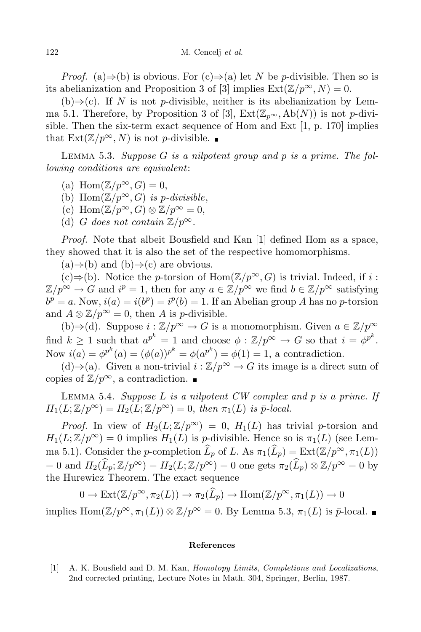*Proof.* (a)⇒(b) is obvious. For  $(c) \Rightarrow (a)$  let N be p-divisible. Then so is its abelianization and Proposition 3 of [3] implies  $\text{Ext}(\mathbb{Z}/p^{\infty}, N) = 0$ .

 $(b) \Rightarrow (c)$ . If N is not p-divisible, neither is its abelianization by Lemma 5.1. Therefore, by Proposition 3 of [3],  $Ext(\mathbb{Z}_{p^{\infty}}, Ab(N))$  is not p-divisible. Then the six-term exact sequence of Hom and Ext [1, p. 170] implies that  $\text{Ext}(\mathbb{Z}/p^{\infty}, N)$  is not *p*-divisible.

LEMMA 5.3. Suppose  $G$  is a nilpotent group and  $p$  is a prime. The following conditions are equivalent:

- (a) Hom $(\mathbb{Z}/p^{\infty}, G) = 0$ ,
- (b) Hom $(\mathbb{Z}/p^{\infty}, G)$  is p-divisible,
- (c) Hom $(\mathbb{Z}/p^{\infty}, G) \otimes \mathbb{Z}/p^{\infty} = 0$ ,
- (d) G does not contain  $\mathbb{Z}/p^{\infty}$ .

Proof. Note that albeit Bousfield and Kan [1] defined Hom as a space, they showed that it is also the set of the respective homomorphisms.

 $(a) \Rightarrow (b)$  and  $(b) \Rightarrow (c)$  are obvious.

 $(c) \Rightarrow (b)$ . Notice the *p*-torsion of Hom( $\mathbb{Z}/p^{\infty}, G$ ) is trivial. Indeed, if *i* :  $\mathbb{Z}/p^{\infty} \to G$  and  $i^p = 1$ , then for any  $a \in \mathbb{Z}/p^{\infty}$  we find  $b \in \mathbb{Z}/p^{\infty}$  satisfying  $b^p = a.$  Now,  $i(a) = i(b^p) = i^p(b) = 1.$  If an Abelian group A has no p-torsion and  $A \otimes \mathbb{Z}/p^{\infty} = 0$ , then A is *p*-divisible.

(b)⇒(d). Suppose  $i : \mathbb{Z}/p^{\infty} \to G$  is a monomorphism. Given  $a \in \mathbb{Z}/p^{\infty}$ find  $k \geq 1$  such that  $a^{p^k} = 1$  and choose  $\phi : \mathbb{Z}/p^{\infty} \to G$  so that  $i = \phi^{p^k}$ . Now  $i(a) = \phi^{p^k}(a) = (\phi(a))^{p^k} = \phi(a^{p^k}) = \phi(1) = 1$ , a contradiction.

(d)⇒(a). Given a non-trivial  $i : \mathbb{Z}/p^{\infty} \to G$  its image is a direct sum of copies of  $\mathbb{Z}/p^{\infty}$ , a contradiction.  $\blacksquare$ 

LEMMA 5.4. Suppose  $L$  is a nilpotent  $CW$  complex and  $p$  is a prime. If  $H_1(L; \mathbb{Z}/p^{\infty}) = H_2(L; \mathbb{Z}/p^{\infty}) = 0$ , then  $\pi_1(L)$  is  $\bar{p}$ -local.

*Proof.* In view of  $H_2(L;\mathbb{Z}/p^\infty) = 0$ ,  $H_1(L)$  has trivial *p*-torsion and  $H_1(L; \mathbb{Z}/p^{\infty}) = 0$  implies  $H_1(L)$  is *p*-divisible. Hence so is  $\pi_1(L)$  (see Lemma 5.1). Consider the p-completion  $\widehat{L}_p$  of L. As  $\pi_1(\widehat{L}_p) = \text{Ext}(\mathbb{Z}/p^{\infty}, \pi_1(L))$  $= 0$  and  $H_2(\widehat{L}_p;\mathbb{Z}/p^{\infty}) = H_2(L;\mathbb{Z}/p^{\infty}) = 0$  one gets  $\pi_2(\widehat{L}_p) \otimes \mathbb{Z}/p^{\infty} = 0$  by the Hurewicz Theorem. The exact sequence

$$
0 \to \text{Ext}(\mathbb{Z}/p^{\infty}, \pi_2(L)) \to \pi_2(\widehat{L}_p) \to \text{Hom}(\mathbb{Z}/p^{\infty}, \pi_1(L)) \to 0
$$

implies  $\text{Hom}(\mathbb{Z}/p^{\infty}, \pi_1(L)) \otimes \mathbb{Z}/p^{\infty} = 0$ . By Lemma 5.3,  $\pi_1(L)$  is  $\bar{p}$ -local.

## References

[1] A. K. Bousfield and D. M. Kan, Homotopy Limits, Completions and Localizations, 2nd corrected printing, Lecture Notes in Math. 304, Springer, Berlin, 1987.